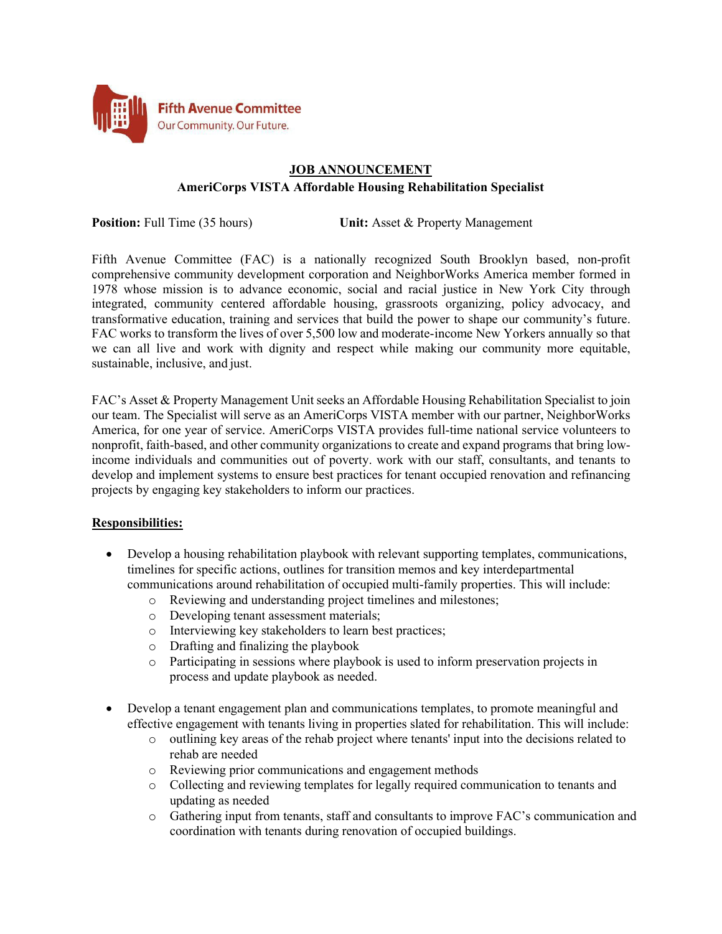

# **JOB ANNOUNCEMENT AmeriCorps VISTA Affordable Housing Rehabilitation Specialist**

**Position:** Full Time (35 hours) **Unit:** Asset & Property Management

Fifth Avenue Committee (FAC) is a nationally recognized South Brooklyn based, non-profit comprehensive community development corporation and NeighborWorks America member formed in 1978 whose mission is to advance economic, social and racial justice in New York City through integrated, community centered affordable housing, grassroots organizing, policy advocacy, and transformative education, training and services that build the power to shape our community's future. FAC works to transform the lives of over 5,500 low and moderate-income New Yorkers annually so that we can all live and work with dignity and respect while making our community more equitable, sustainable, inclusive, and just.

FAC's Asset & Property Management Unit seeks an Affordable Housing Rehabilitation Specialist to join our team. The Specialist will serve as an AmeriCorps VISTA member with our partner, NeighborWorks America, for one year of service. AmeriCorps VISTA provides full-time national service volunteers to nonprofit, faith-based, and other community organizations to create and expand programs that bring lowincome individuals and communities out of poverty. work with our staff, consultants, and tenants to develop and implement systems to ensure best practices for tenant occupied renovation and refinancing projects by engaging key stakeholders to inform our practices.

## **Responsibilities:**

- Develop a housing rehabilitation playbook with relevant supporting templates, communications, timelines for specific actions, outlines for transition memos and key interdepartmental communications around rehabilitation of occupied multi-family properties. This will include:
	- o Reviewing and understanding project timelines and milestones;
	- o Developing tenant assessment materials;
	- o Interviewing key stakeholders to learn best practices;
	- o Drafting and finalizing the playbook
	- o Participating in sessions where playbook is used to inform preservation projects in process and update playbook as needed.
- Develop a tenant engagement plan and communications templates, to promote meaningful and effective engagement with tenants living in properties slated for rehabilitation. This will include:
	- o outlining key areas of the rehab project where tenants' input into the decisions related to rehab are needed
	- o Reviewing prior communications and engagement methods
	- o Collecting and reviewing templates for legally required communication to tenants and updating as needed
	- o Gathering input from tenants, staff and consultants to improve FAC's communication and coordination with tenants during renovation of occupied buildings.